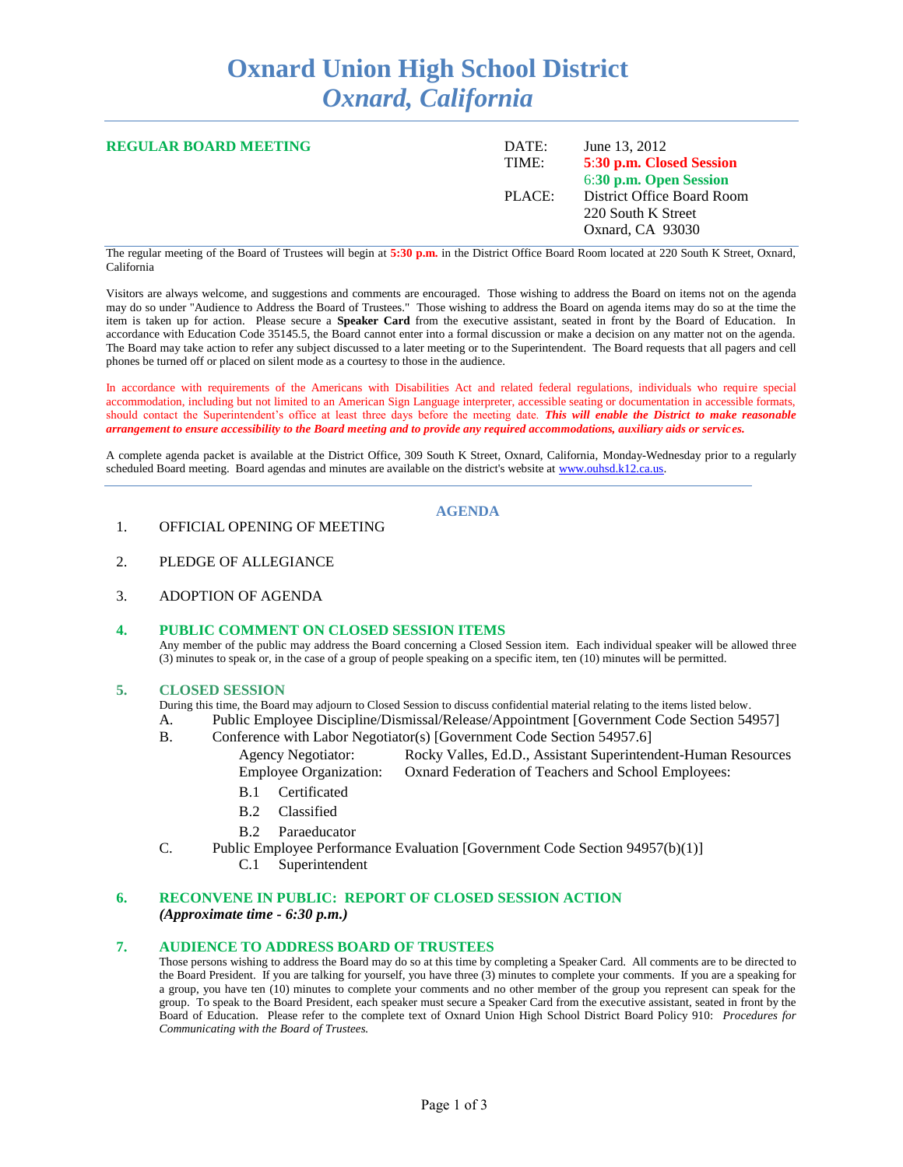# **Oxnard Union High School District** *Oxnard, California*

| <b>REGULAR BOARD MEETING</b> | DATE:<br>TIME: | June 13, 2012<br>5:30 p.m. Closed Session<br>6:30 p.m. Open Session  |
|------------------------------|----------------|----------------------------------------------------------------------|
|                              | PLACE:         | District Office Board Room<br>220 South K Street<br>Oxnard, CA 93030 |

The regular meeting of the Board of Trustees will begin at **5:30 p.m.** in the District Office Board Room located at 220 South K Street, Oxnard, California

Visitors are always welcome, and suggestions and comments are encouraged. Those wishing to address the Board on items not on the agenda may do so under "Audience to Address the Board of Trustees." Those wishing to address the Board on agenda items may do so at the time the item is taken up for action. Please secure a **Speaker Card** from the executive assistant, seated in front by the Board of Education. In accordance with Education Code 35145.5, the Board cannot enter into a formal discussion or make a decision on any matter not on the agenda. The Board may take action to refer any subject discussed to a later meeting or to the Superintendent. The Board requests that all pagers and cell phones be turned off or placed on silent mode as a courtesy to those in the audience.

In accordance with requirements of the Americans with Disabilities Act and related federal regulations, individuals who require special accommodation, including but not limited to an American Sign Language interpreter, accessible seating or documentation in accessible formats, should contact the Superintendent's office at least three days before the meeting date. *This will enable the District to make reasonable arrangement to ensure accessibility to the Board meeting and to provide any required accommodations, auxiliary aids or services.*

A complete agenda packet is available at the District Office, 309 South K Street, Oxnard, California, Monday-Wednesday prior to a regularly scheduled Board meeting. Board agendas and minutes are available on the district's website at [www.ouhsd.k12.ca.us.](http://www.ouhsd.k12.ca.us/)

## **AGENDA**

## 1. OFFICIAL OPENING OF MEETING

- 2. PLEDGE OF ALLEGIANCE
- 3. ADOPTION OF AGENDA

#### **4. PUBLIC COMMENT ON CLOSED SESSION ITEMS** Any member of the public may address the Board concerning a Closed Session item. Each individual speaker will be allowed three (3) minutes to speak or, in the case of a group of people speaking on a specific item, ten (10) minutes will be permitted.

### **5. CLOSED SESSION**

During this time, the Board may adjourn to Closed Session to discuss confidential material relating to the items listed below.

- A. Public Employee Discipline/Dismissal/Release/Appointment [Government Code Section 54957]
- B. Conference with Labor Negotiator(s) [Government Code Section 54957.6]
	- Agency Negotiator: Rocky Valles, Ed.D., Assistant Superintendent-Human Resources Employee Organization: Oxnard Federation of Teachers and School Employees:
	- B.1 Certificated
	- B.2 Classified
	- B.2 Paraeducator
- C. Public Employee Performance Evaluation [Government Code Section 94957(b)(1)] C.1 Superintendent
	-

### **6. RECONVENE IN PUBLIC: REPORT OF CLOSED SESSION ACTION** *(Approximate time - 6:30 p.m.)*

#### **7. AUDIENCE TO ADDRESS BOARD OF TRUSTEES**

Those persons wishing to address the Board may do so at this time by completing a Speaker Card. All comments are to be directed to the Board President. If you are talking for yourself, you have three (3) minutes to complete your comments. If you are a speaking for a group, you have ten (10) minutes to complete your comments and no other member of the group you represent can speak for the group. To speak to the Board President, each speaker must secure a Speaker Card from the executive assistant, seated in front by the Board of Education. Please refer to the complete text of Oxnard Union High School District Board Policy 910: *Procedures for Communicating with the Board of Trustees.*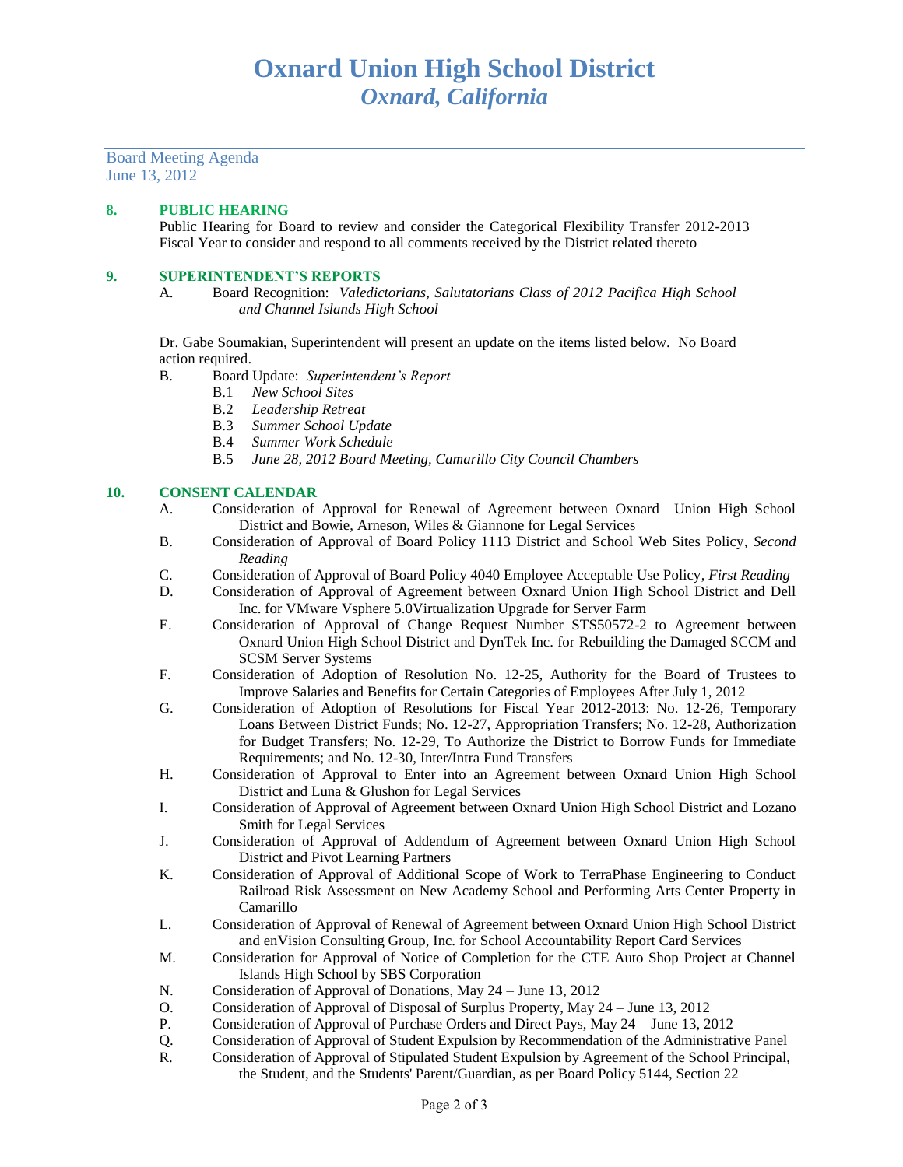Board Meeting Agenda June 13, 2012

## **8. PUBLIC HEARING**

Public Hearing for Board to review and consider the Categorical Flexibility Transfer 2012-2013 Fiscal Year to consider and respond to all comments received by the District related thereto

## **9. SUPERINTENDENT'S REPORTS**

A. Board Recognition: *Valedictorians, Salutatorians Class of 2012 Pacifica High School and Channel Islands High School*

Dr. Gabe Soumakian, Superintendent will present an update on the items listed below. No Board action required.

- B. Board Update: *Superintendent's Report* 
	- B.1 *New School Sites*
	- B.2 *Leadership Retreat*
	- B.3 *Summer School Update*
	- B.4 *Summer Work Schedule*
	- B.5 *June 28, 2012 Board Meeting, Camarillo City Council Chambers*

## **10. CONSENT CALENDAR**

- A. Consideration of Approval for Renewal of Agreement between Oxnard Union High School District and Bowie, Arneson, Wiles & Giannone for Legal Services
- B. Consideration of Approval of Board Policy 1113 District and School Web Sites Policy, *Second Reading*
- C. Consideration of Approval of Board Policy 4040 Employee Acceptable Use Policy, *First Reading*
- D. Consideration of Approval of Agreement between Oxnard Union High School District and Dell Inc. for VMware Vsphere 5.0Virtualization Upgrade for Server Farm
- E. Consideration of Approval of Change Request Number STS50572-2 to Agreement between Oxnard Union High School District and DynTek Inc. for Rebuilding the Damaged SCCM and SCSM Server Systems
- F. Consideration of Adoption of Resolution No. 12-25, Authority for the Board of Trustees to Improve Salaries and Benefits for Certain Categories of Employees After July 1, 2012
- G. Consideration of Adoption of Resolutions for Fiscal Year 2012-2013: No. 12-26, Temporary Loans Between District Funds; No. 12-27, Appropriation Transfers; No. 12-28, Authorization for Budget Transfers; No. 12-29, To Authorize the District to Borrow Funds for Immediate Requirements; and No. 12-30, Inter/Intra Fund Transfers
- H. Consideration of Approval to Enter into an Agreement between Oxnard Union High School District and Luna & Glushon for Legal Services
- I. Consideration of Approval of Agreement between Oxnard Union High School District and Lozano Smith for Legal Services
- J. Consideration of Approval of Addendum of Agreement between Oxnard Union High School District and Pivot Learning Partners
- K. Consideration of Approval of Additional Scope of Work to TerraPhase Engineering to Conduct Railroad Risk Assessment on New Academy School and Performing Arts Center Property in Camarillo
- L. Consideration of Approval of Renewal of Agreement between Oxnard Union High School District and enVision Consulting Group, Inc. for School Accountability Report Card Services
- M. Consideration for Approval of Notice of Completion for the CTE Auto Shop Project at Channel Islands High School by SBS Corporation
- N. Consideration of Approval of Donations, May 24 June 13, 2012
- O. Consideration of Approval of Disposal of Surplus Property, May 24 June 13, 2012
- P. Consideration of Approval of Purchase Orders and Direct Pays, May 24 June 13, 2012
- Q. Consideration of Approval of Student Expulsion by Recommendation of the Administrative Panel
- R. Consideration of Approval of Stipulated Student Expulsion by Agreement of the School Principal, the Student, and the Students' Parent/Guardian, as per Board Policy 5144, Section 22